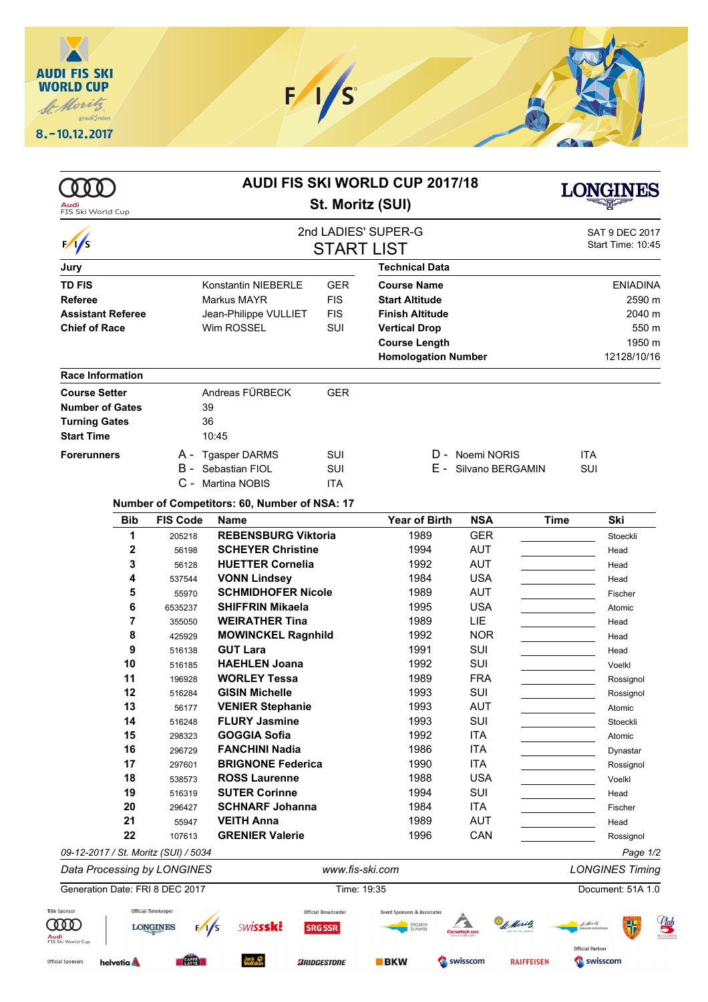

| B -                                    | <b>Konstantin NIEBERLE</b><br>Markus MAYR<br>Jean-Philippe VULLIET<br>Wim ROSSEL<br>Andreas FÜRBECK<br>39<br>36<br>10:45 | St. Moritz (SUI)<br><b>START LIST</b><br><b>GER</b><br><b>FIS</b><br><b>FIS</b><br><b>SUI</b><br><b>GER</b>                                                                                                                                                                                                                                                                                                          | 2nd LADIES' SUPER-G<br><b>Technical Data</b><br><b>Course Name</b><br><b>Start Altitude</b><br><b>Finish Altitude</b><br><b>Vertical Drop</b><br><b>Course Length</b><br><b>Homologation Number</b> |                                                                                                                                                                                |                                                                                                                                                                                                         | SAT 9 DEC 2017<br>Start Time: 10:45<br><b>ENIADINA</b><br>2590 m<br>2040 m<br>550 m |
|----------------------------------------|--------------------------------------------------------------------------------------------------------------------------|----------------------------------------------------------------------------------------------------------------------------------------------------------------------------------------------------------------------------------------------------------------------------------------------------------------------------------------------------------------------------------------------------------------------|-----------------------------------------------------------------------------------------------------------------------------------------------------------------------------------------------------|--------------------------------------------------------------------------------------------------------------------------------------------------------------------------------|---------------------------------------------------------------------------------------------------------------------------------------------------------------------------------------------------------|-------------------------------------------------------------------------------------|
|                                        |                                                                                                                          |                                                                                                                                                                                                                                                                                                                                                                                                                      |                                                                                                                                                                                                     |                                                                                                                                                                                |                                                                                                                                                                                                         |                                                                                     |
|                                        |                                                                                                                          |                                                                                                                                                                                                                                                                                                                                                                                                                      |                                                                                                                                                                                                     |                                                                                                                                                                                |                                                                                                                                                                                                         |                                                                                     |
|                                        |                                                                                                                          |                                                                                                                                                                                                                                                                                                                                                                                                                      |                                                                                                                                                                                                     |                                                                                                                                                                                |                                                                                                                                                                                                         |                                                                                     |
|                                        |                                                                                                                          |                                                                                                                                                                                                                                                                                                                                                                                                                      |                                                                                                                                                                                                     |                                                                                                                                                                                |                                                                                                                                                                                                         |                                                                                     |
|                                        |                                                                                                                          |                                                                                                                                                                                                                                                                                                                                                                                                                      |                                                                                                                                                                                                     |                                                                                                                                                                                |                                                                                                                                                                                                         |                                                                                     |
|                                        |                                                                                                                          |                                                                                                                                                                                                                                                                                                                                                                                                                      |                                                                                                                                                                                                     |                                                                                                                                                                                |                                                                                                                                                                                                         |                                                                                     |
|                                        |                                                                                                                          |                                                                                                                                                                                                                                                                                                                                                                                                                      |                                                                                                                                                                                                     |                                                                                                                                                                                |                                                                                                                                                                                                         |                                                                                     |
|                                        |                                                                                                                          |                                                                                                                                                                                                                                                                                                                                                                                                                      |                                                                                                                                                                                                     |                                                                                                                                                                                |                                                                                                                                                                                                         | 1950 m                                                                              |
|                                        |                                                                                                                          |                                                                                                                                                                                                                                                                                                                                                                                                                      |                                                                                                                                                                                                     |                                                                                                                                                                                |                                                                                                                                                                                                         | 12128/10/16                                                                         |
|                                        |                                                                                                                          |                                                                                                                                                                                                                                                                                                                                                                                                                      |                                                                                                                                                                                                     |                                                                                                                                                                                |                                                                                                                                                                                                         |                                                                                     |
|                                        |                                                                                                                          |                                                                                                                                                                                                                                                                                                                                                                                                                      |                                                                                                                                                                                                     |                                                                                                                                                                                |                                                                                                                                                                                                         |                                                                                     |
|                                        |                                                                                                                          |                                                                                                                                                                                                                                                                                                                                                                                                                      |                                                                                                                                                                                                     |                                                                                                                                                                                |                                                                                                                                                                                                         |                                                                                     |
|                                        |                                                                                                                          |                                                                                                                                                                                                                                                                                                                                                                                                                      |                                                                                                                                                                                                     |                                                                                                                                                                                |                                                                                                                                                                                                         |                                                                                     |
|                                        |                                                                                                                          |                                                                                                                                                                                                                                                                                                                                                                                                                      |                                                                                                                                                                                                     |                                                                                                                                                                                |                                                                                                                                                                                                         |                                                                                     |
|                                        | A - Tgasper DARMS                                                                                                        | SUI                                                                                                                                                                                                                                                                                                                                                                                                                  |                                                                                                                                                                                                     | D - Noemi NORIS                                                                                                                                                                |                                                                                                                                                                                                         | <b>ITA</b>                                                                          |
|                                        | Sebastian FIOL<br><b>SUI</b>                                                                                             |                                                                                                                                                                                                                                                                                                                                                                                                                      | Е -                                                                                                                                                                                                 | Silvano BERGAMIN                                                                                                                                                               | SUI                                                                                                                                                                                                     |                                                                                     |
|                                        | C - Martina NOBIS                                                                                                        | <b>ITA</b>                                                                                                                                                                                                                                                                                                                                                                                                           |                                                                                                                                                                                                     |                                                                                                                                                                                |                                                                                                                                                                                                         |                                                                                     |
|                                        | Number of Competitors: 60, Number of NSA: 17                                                                             |                                                                                                                                                                                                                                                                                                                                                                                                                      |                                                                                                                                                                                                     |                                                                                                                                                                                |                                                                                                                                                                                                         |                                                                                     |
| <b>FIS Code</b>                        | <b>Name</b>                                                                                                              |                                                                                                                                                                                                                                                                                                                                                                                                                      | <b>Year of Birth</b>                                                                                                                                                                                | <b>NSA</b>                                                                                                                                                                     | <b>Time</b>                                                                                                                                                                                             | Ski                                                                                 |
| 205218                                 | <b>REBENSBURG Viktoria</b>                                                                                               |                                                                                                                                                                                                                                                                                                                                                                                                                      | 1989                                                                                                                                                                                                | <b>GER</b>                                                                                                                                                                     |                                                                                                                                                                                                         | Stoeckli                                                                            |
| 56198                                  | <b>SCHEYER Christine</b>                                                                                                 |                                                                                                                                                                                                                                                                                                                                                                                                                      | 1994                                                                                                                                                                                                | <b>AUT</b>                                                                                                                                                                     |                                                                                                                                                                                                         | Head                                                                                |
| 56128                                  | <b>HUETTER Cornelia</b>                                                                                                  |                                                                                                                                                                                                                                                                                                                                                                                                                      | 1992                                                                                                                                                                                                | <b>AUT</b>                                                                                                                                                                     |                                                                                                                                                                                                         | Head                                                                                |
| 537544                                 | <b>VONN Lindsey</b>                                                                                                      |                                                                                                                                                                                                                                                                                                                                                                                                                      | 1984                                                                                                                                                                                                | <b>USA</b>                                                                                                                                                                     |                                                                                                                                                                                                         | Head                                                                                |
| 55970                                  |                                                                                                                          |                                                                                                                                                                                                                                                                                                                                                                                                                      |                                                                                                                                                                                                     |                                                                                                                                                                                |                                                                                                                                                                                                         | Fischer                                                                             |
| 6535237                                |                                                                                                                          |                                                                                                                                                                                                                                                                                                                                                                                                                      |                                                                                                                                                                                                     |                                                                                                                                                                                |                                                                                                                                                                                                         | Atomic                                                                              |
| 355050                                 |                                                                                                                          |                                                                                                                                                                                                                                                                                                                                                                                                                      |                                                                                                                                                                                                     |                                                                                                                                                                                |                                                                                                                                                                                                         | Head                                                                                |
| 425929                                 |                                                                                                                          |                                                                                                                                                                                                                                                                                                                                                                                                                      |                                                                                                                                                                                                     |                                                                                                                                                                                |                                                                                                                                                                                                         | Head                                                                                |
| 516138                                 |                                                                                                                          |                                                                                                                                                                                                                                                                                                                                                                                                                      |                                                                                                                                                                                                     |                                                                                                                                                                                |                                                                                                                                                                                                         | Head                                                                                |
| 516185                                 |                                                                                                                          |                                                                                                                                                                                                                                                                                                                                                                                                                      |                                                                                                                                                                                                     |                                                                                                                                                                                |                                                                                                                                                                                                         | Voelkl                                                                              |
| 196928                                 |                                                                                                                          |                                                                                                                                                                                                                                                                                                                                                                                                                      |                                                                                                                                                                                                     |                                                                                                                                                                                |                                                                                                                                                                                                         | Rossignol                                                                           |
|                                        |                                                                                                                          |                                                                                                                                                                                                                                                                                                                                                                                                                      |                                                                                                                                                                                                     |                                                                                                                                                                                |                                                                                                                                                                                                         | Rossignol                                                                           |
| 56177                                  |                                                                                                                          |                                                                                                                                                                                                                                                                                                                                                                                                                      |                                                                                                                                                                                                     |                                                                                                                                                                                |                                                                                                                                                                                                         | Atomic                                                                              |
|                                        |                                                                                                                          |                                                                                                                                                                                                                                                                                                                                                                                                                      |                                                                                                                                                                                                     |                                                                                                                                                                                |                                                                                                                                                                                                         | Stoeckli                                                                            |
|                                        |                                                                                                                          |                                                                                                                                                                                                                                                                                                                                                                                                                      |                                                                                                                                                                                                     |                                                                                                                                                                                |                                                                                                                                                                                                         | Atomic                                                                              |
|                                        |                                                                                                                          |                                                                                                                                                                                                                                                                                                                                                                                                                      |                                                                                                                                                                                                     |                                                                                                                                                                                |                                                                                                                                                                                                         | Dynastar                                                                            |
|                                        |                                                                                                                          |                                                                                                                                                                                                                                                                                                                                                                                                                      |                                                                                                                                                                                                     |                                                                                                                                                                                |                                                                                                                                                                                                         | Rossignol                                                                           |
|                                        |                                                                                                                          |                                                                                                                                                                                                                                                                                                                                                                                                                      |                                                                                                                                                                                                     |                                                                                                                                                                                |                                                                                                                                                                                                         | Voelkl                                                                              |
|                                        |                                                                                                                          |                                                                                                                                                                                                                                                                                                                                                                                                                      |                                                                                                                                                                                                     |                                                                                                                                                                                |                                                                                                                                                                                                         | Head<br>Fischer                                                                     |
|                                        |                                                                                                                          |                                                                                                                                                                                                                                                                                                                                                                                                                      |                                                                                                                                                                                                     |                                                                                                                                                                                |                                                                                                                                                                                                         | Head                                                                                |
|                                        |                                                                                                                          |                                                                                                                                                                                                                                                                                                                                                                                                                      |                                                                                                                                                                                                     |                                                                                                                                                                                |                                                                                                                                                                                                         | Rossignol                                                                           |
|                                        |                                                                                                                          |                                                                                                                                                                                                                                                                                                                                                                                                                      |                                                                                                                                                                                                     |                                                                                                                                                                                |                                                                                                                                                                                                         | Page 1/2                                                                            |
|                                        |                                                                                                                          |                                                                                                                                                                                                                                                                                                                                                                                                                      |                                                                                                                                                                                                     |                                                                                                                                                                                |                                                                                                                                                                                                         | <b>LONGINES Timing</b>                                                              |
| Generation Date: FRI 8 DEC 2017        |                                                                                                                          |                                                                                                                                                                                                                                                                                                                                                                                                                      |                                                                                                                                                                                                     |                                                                                                                                                                                |                                                                                                                                                                                                         | Document: 51A 1.0                                                                   |
|                                        |                                                                                                                          |                                                                                                                                                                                                                                                                                                                                                                                                                      |                                                                                                                                                                                                     |                                                                                                                                                                                |                                                                                                                                                                                                         |                                                                                     |
| Official Timekeeper<br><b>LONGINES</b> | <b>SWISSSKi</b>                                                                                                          | Official Broadcaster<br><b>SRG SSR</b>                                                                                                                                                                                                                                                                                                                                                                               | Event Sponsors & Associates<br>ENGADIN<br>St.Moritz                                                                                                                                                 | b Moritz<br>Corvatsch 3303                                                                                                                                                     |                                                                                                                                                                                                         | <i><b>de Moritz</b></i>                                                             |
|                                        | 516284<br>516248<br>298323<br>296729<br>297601<br>538573<br>516319<br>296427<br>55947<br>107613                          | <b>SHIFFRIN Mikaela</b><br><b>WEIRATHER Tina</b><br><b>GUT Lara</b><br><b>HAEHLEN Joana</b><br><b>WORLEY Tessa</b><br><b>GISIN Michelle</b><br><b>VENIER Stephanie</b><br><b>FLURY Jasmine</b><br><b>GOGGIA Sofia</b><br><b>FANCHINI Nadia</b><br><b>ROSS Laurenne</b><br><b>SUTER Corinne</b><br><b>VEITH Anna</b><br><b>GRENIER Valerie</b><br>09-12-2017 / St. Moritz (SUI) / 5034<br>Data Processing by LONGINES | <b>SCHMIDHOFER Nicole</b><br><b>MOWINCKEL Ragnhild</b><br><b>BRIGNONE Federica</b><br><b>SCHNARF Johanna</b>                                                                                        | 1989<br>1995<br>1989<br>1992<br>1991<br>1992<br>1989<br>1993<br>1993<br>1993<br>1992<br>1986<br>1990<br>1988<br>1994<br>1984<br>1989<br>1996<br>www.fis-ski.com<br>Time: 19:35 | <b>AUT</b><br><b>USA</b><br>LIE<br><b>NOR</b><br>SUI<br>SUI<br><b>FRA</b><br>SUI<br><b>AUT</b><br>SUI<br><b>ITA</b><br><b>ITA</b><br><b>ITA</b><br><b>USA</b><br>SUI<br><b>ITA</b><br><b>AUT</b><br>CAN |                                                                                     |